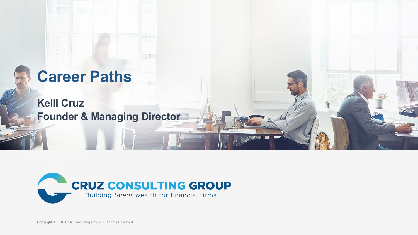## **Career Paths**

**Kelli Cruz Founder & Managing Director** 



**ANTI 52 Y** 

**IS NO** 

Copyright © 2016 Cruz Consulting Group. All Rights Reserved.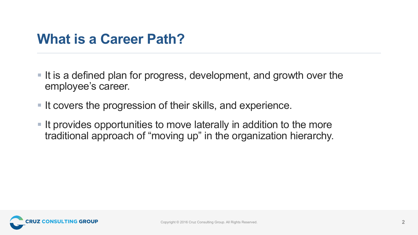## **What is a Career Path?**

- It is a defined plan for progress, development, and growth over the employee's career.
- It covers the progression of their skills, and experience.
- § It provides opportunities to move laterally in addition to the more traditional approach of "moving up" in the organization hierarchy.

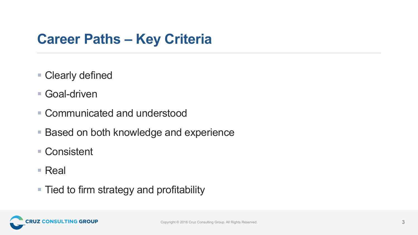## **Career Paths – Key Criteria**

- Clearly defined
- Goal-driven
- Communicated and understood
- Based on both knowledge and experience
- Consistent
- Real
- Tied to firm strategy and profitability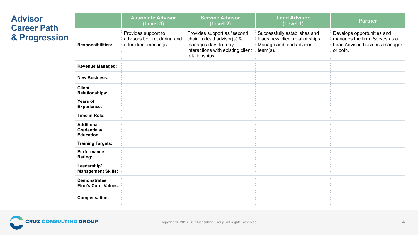| <b>Advisor</b><br><b>Career Path</b><br>& Progression |                                                               | <b>Associate Advisor</b><br>(Level 3)                                        | <b>Service Advisor</b><br>(Level 2)                                                                                                       | <b>Lead Advisor</b><br>(Level 1)                                                                          | <b>Partner</b>                                                                                            |
|-------------------------------------------------------|---------------------------------------------------------------|------------------------------------------------------------------------------|-------------------------------------------------------------------------------------------------------------------------------------------|-----------------------------------------------------------------------------------------------------------|-----------------------------------------------------------------------------------------------------------|
|                                                       | <b>Responsibilities:</b>                                      | Provides support to<br>advisors before, during and<br>after client meetings. | Provides support as "second<br>chair" to lead advisor(s) &<br>manages day -to -day<br>interactions with existing client<br>relationships. | Successfully establishes and<br>leads new client relationships.<br>Manage and lead advisor<br>$team(s)$ . | Develops opportunities and<br>manages the firm. Serves as a<br>Lead Advisor, business manager<br>or both. |
|                                                       | <b>Revenue Managed:</b>                                       |                                                                              |                                                                                                                                           |                                                                                                           |                                                                                                           |
|                                                       | <b>New Business:</b>                                          |                                                                              |                                                                                                                                           |                                                                                                           |                                                                                                           |
|                                                       | <b>Client</b><br><b>Relationships:</b>                        |                                                                              |                                                                                                                                           |                                                                                                           |                                                                                                           |
|                                                       | Years of<br><b>Experience:</b>                                |                                                                              |                                                                                                                                           |                                                                                                           |                                                                                                           |
|                                                       | Time in Role:                                                 |                                                                              |                                                                                                                                           |                                                                                                           |                                                                                                           |
|                                                       | <b>Additional</b><br><b>Credentials/</b><br><b>Education:</b> |                                                                              |                                                                                                                                           |                                                                                                           |                                                                                                           |
|                                                       | <b>Training Targets:</b>                                      |                                                                              |                                                                                                                                           |                                                                                                           |                                                                                                           |
|                                                       | Performance<br>Rating:                                        |                                                                              |                                                                                                                                           |                                                                                                           |                                                                                                           |
|                                                       | Leadership/<br><b>Management Skills:</b>                      |                                                                              |                                                                                                                                           |                                                                                                           |                                                                                                           |
|                                                       | <b>Demonstrates</b><br><b>Firm's Core Values:</b>             |                                                                              |                                                                                                                                           |                                                                                                           |                                                                                                           |
|                                                       | <b>Compensation:</b>                                          |                                                                              |                                                                                                                                           |                                                                                                           |                                                                                                           |

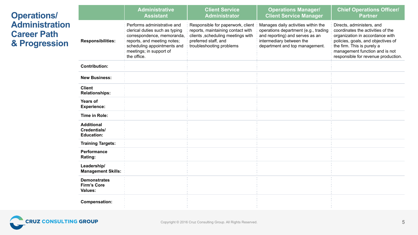| <b>Operations/</b><br><b>Administration</b><br><b>Career Path</b><br>& Progression |                                                             | <b>Administrative</b><br><b>Assistant</b>                                                                                                                                                           | <b>Client Service</b><br><b>Administrator</b>                                                                                                                    | <b>Operations Manager/</b><br><b>Client Service Manager</b>                                                                                                                  | <b>Chief Operations Officer/</b><br><b>Partner</b>                                                                                                                                                                                             |
|------------------------------------------------------------------------------------|-------------------------------------------------------------|-----------------------------------------------------------------------------------------------------------------------------------------------------------------------------------------------------|------------------------------------------------------------------------------------------------------------------------------------------------------------------|------------------------------------------------------------------------------------------------------------------------------------------------------------------------------|------------------------------------------------------------------------------------------------------------------------------------------------------------------------------------------------------------------------------------------------|
|                                                                                    | <b>Responsibilities:</b>                                    | Performs administrative and<br>clerical duties such as typing<br>correspondence, memoranda,<br>reports, and meeting notes;<br>scheduling appointments and<br>meetings; in support of<br>the office. | Responsible for paperwork, client<br>reports, maintaining contact with<br>clients , scheduling meetings with<br>preferred staff, and<br>troubleshooting problems | Manages daily activities within the<br>operations department (e.g., trading<br>and reporting) and serves as an<br>intermediary between the<br>department and top management. | Directs, administers, and<br>coordinates the activities of the<br>organization in accordance with<br>policies, goals, and objectives of<br>the firm. This is purely a<br>management function and is not<br>responsible for revenue production. |
|                                                                                    | <b>Contribution:</b>                                        |                                                                                                                                                                                                     |                                                                                                                                                                  |                                                                                                                                                                              |                                                                                                                                                                                                                                                |
|                                                                                    | <b>New Business:</b>                                        |                                                                                                                                                                                                     |                                                                                                                                                                  |                                                                                                                                                                              |                                                                                                                                                                                                                                                |
|                                                                                    | <b>Client</b><br><b>Relationships:</b>                      |                                                                                                                                                                                                     |                                                                                                                                                                  |                                                                                                                                                                              |                                                                                                                                                                                                                                                |
|                                                                                    | <b>Years of</b><br><b>Experience:</b>                       |                                                                                                                                                                                                     |                                                                                                                                                                  |                                                                                                                                                                              |                                                                                                                                                                                                                                                |
|                                                                                    | Time in Role:                                               |                                                                                                                                                                                                     |                                                                                                                                                                  |                                                                                                                                                                              |                                                                                                                                                                                                                                                |
|                                                                                    | <b>Additional</b><br>Credentials/<br><b>Education:</b>      |                                                                                                                                                                                                     |                                                                                                                                                                  |                                                                                                                                                                              |                                                                                                                                                                                                                                                |
|                                                                                    | <b>Training Targets:</b>                                    |                                                                                                                                                                                                     |                                                                                                                                                                  |                                                                                                                                                                              |                                                                                                                                                                                                                                                |
|                                                                                    | Performance<br>Rating:                                      |                                                                                                                                                                                                     |                                                                                                                                                                  |                                                                                                                                                                              |                                                                                                                                                                                                                                                |
|                                                                                    | Leadership/<br><b>Management Skills:</b>                    |                                                                                                                                                                                                     |                                                                                                                                                                  |                                                                                                                                                                              |                                                                                                                                                                                                                                                |
|                                                                                    | <b>Demonstrates</b><br><b>Firm's Core</b><br><b>Values:</b> |                                                                                                                                                                                                     |                                                                                                                                                                  |                                                                                                                                                                              |                                                                                                                                                                                                                                                |
|                                                                                    | <b>Compensation:</b>                                        |                                                                                                                                                                                                     |                                                                                                                                                                  |                                                                                                                                                                              |                                                                                                                                                                                                                                                |